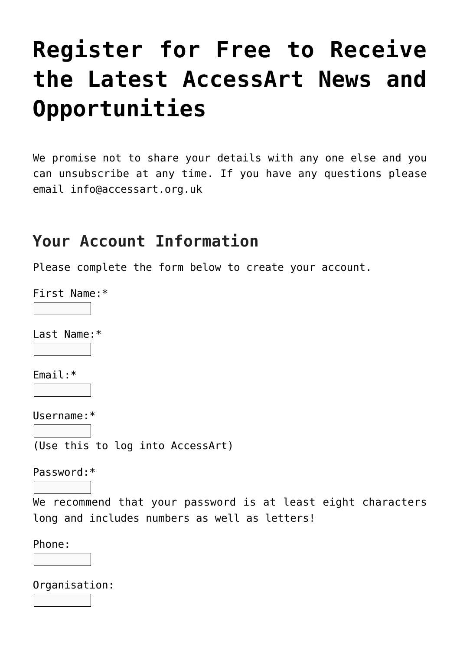# **[Register for Free to Receive](https://www.accessart.org.uk/register-for-free-to-receive-the-latest-accessart-news-and-opportunities-2/) [the Latest AccessArt News and](https://www.accessart.org.uk/register-for-free-to-receive-the-latest-accessart-news-and-opportunities-2/) [Opportunities](https://www.accessart.org.uk/register-for-free-to-receive-the-latest-accessart-news-and-opportunities-2/)**

We promise not to share your details with any one else and you can unsubscribe at any time. If you have any questions please email [info@accessart.org.uk](mailto:info@accessart.org.uk)

#### **Your Account Information**

Please complete the form below to create your account.

First Name:\*

Last Name:\*

Email:\*

Username:\*

(Use this to log into AccessArt)

Password:\*

We recommend that your password is at least eight characters long and includes numbers as well as letters!

Phone:

Organisation: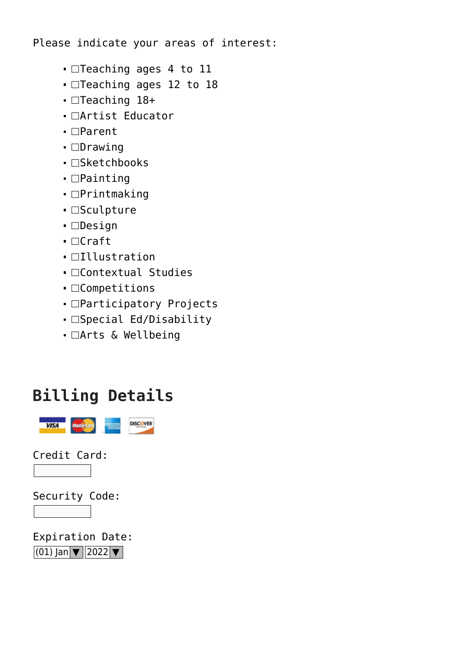Please indicate your areas of interest:

- □Teaching ages 4 to 11
- $\blacksquare$ Teaching ages 12 to 18
- $\blacksquare$ Teaching 18+
- □Artist Educator
- □Parent
- □Drawing
- □Sketchbooks
- □Painting
- $\blacksquare$ Printmaking
- $\blacksquare$ Sculpture
- **O**esign
- $\blacksquare$ Craft
- $\blacksquare$ Illustration
- □Contextual Studies
- □Competitions
- □Participatory Projects
- □Special Ed/Disability
- $\blacksquare$   $\Box$  Arts & Wellbeing

#### **Billing Details**



Credit Card:

Security Code:



Expiration Date:  $(01)$  Jan  $\boxed{\mathbf{v}}$  2022 $\boxed{\mathbf{v}}$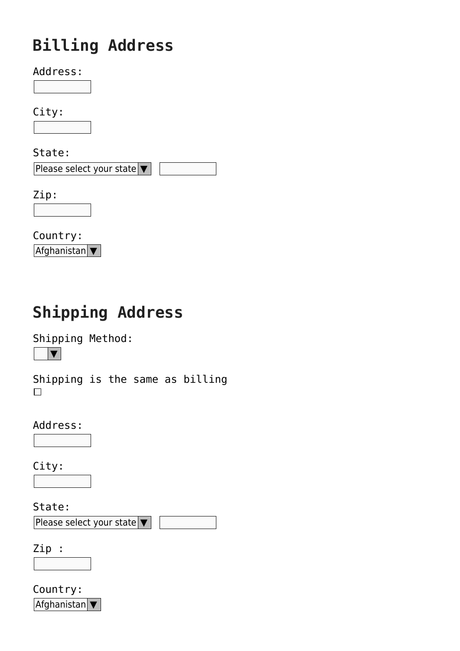## **Billing Address**

Address:

City:

State:

Please select your state ▼

Zip:

Country: **Afghanistan** ▼

## **Shipping Address**

Shipping Method:  $|\bm{\nabla}|$ 

Shipping is the same as billing  $\Box$ 

Address:

City:

State:

Please select your state ▼

Zip :

Country:  $Affchanistan$